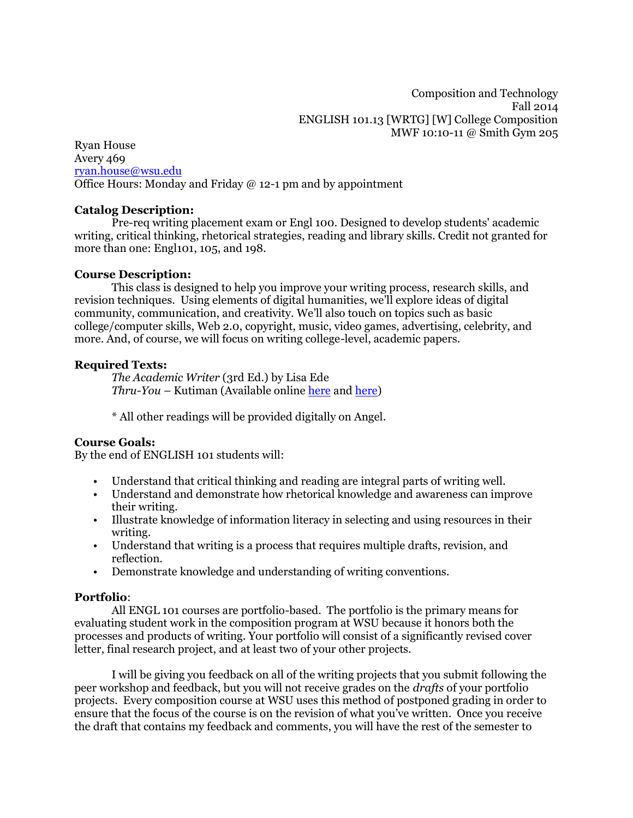Ryan House Avery 469 [ryan.house@wsu.edu](mailto:ryan.house@wsu.edu) Office Hours: Monday and Friday  $\omega$  12-1 pm and by appointment

### **Catalog Description:**

Pre-req writing placement exam or Engl 100. Designed to develop students' academic writing, critical thinking, rhetorical strategies, reading and library skills. Credit not granted for more than one: Engl101, 105, and 198.

### **Course Description:**

This class is designed to help you improve your writing process, research skills, and revision techniques. Using elements of digital humanities, we'll explore ideas of digital community, communication, and creativity. We'll also touch on topics such as basic college/computer skills, Web 2.0, copyright, music, video games, advertising, celebrity, and more. And, of course, we will focus on writing college-level, academic papers.

### **Required Texts:**

*The Academic Writer* (3rd Ed.) by Lisa Ede *Thru-You* – Kutiman (Available online [here](http://thru-you.com/) an[d here\)](https://www.youtube.com/playlist?list=PL2C189BC49E25D16A)

\* All other readings will be provided digitally on Angel.

#### **Course Goals:**

By the end of ENGLISH 101 students will:

- Understand that critical thinking and reading are integral parts of writing well.
- Understand and demonstrate how rhetorical knowledge and awareness can improve their writing.
- Illustrate knowledge of information literacy in selecting and using resources in their writing.
- Understand that writing is a process that requires multiple drafts, revision, and reflection.
- Demonstrate knowledge and understanding of writing conventions.

### **Portfolio**:

All ENGL 101 courses are portfolio-based. The portfolio is the primary means for evaluating student work in the composition program at WSU because it honors both the processes and products of writing. Your portfolio will consist of a significantly revised cover letter, final research project, and at least two of your other projects.

I will be giving you feedback on all of the writing projects that you submit following the peer workshop and feedback, but you will not receive grades on the *drafts* of your portfolio projects. Every composition course at WSU uses this method of postponed grading in order to ensure that the focus of the course is on the revision of what you've written. Once you receive the draft that contains my feedback and comments, you will have the rest of the semester to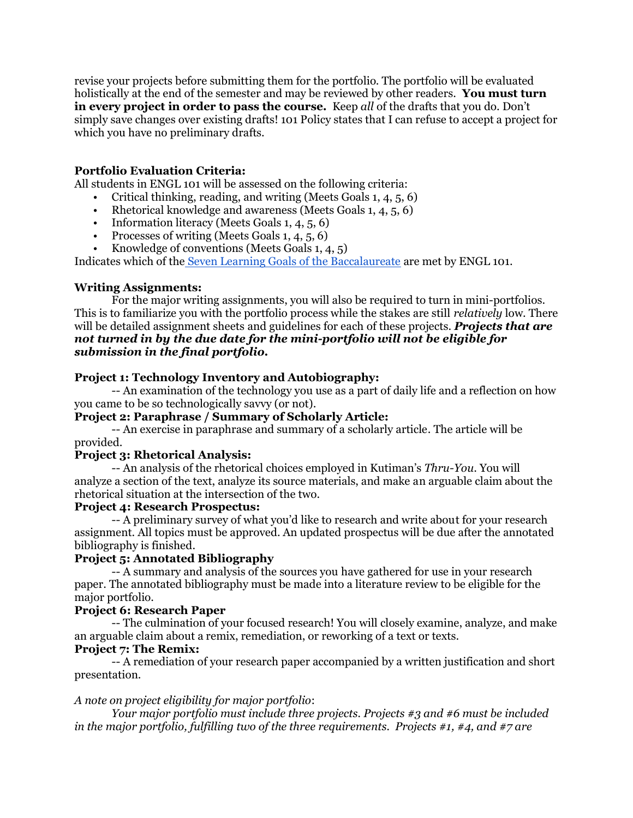revise your projects before submitting them for the portfolio. The portfolio will be evaluated holistically at the end of the semester and may be reviewed by other readers. **You must turn in every project in order to pass the course.** Keep *all* of the drafts that you do. Don't simply save changes over existing drafts! 101 Policy states that I can refuse to accept a project for which you have no preliminary drafts.

# **Portfolio Evaluation Criteria:**

All students in ENGL 101 will be assessed on the following criteria:

- Critical thinking, reading, and writing (Meets Goals 1, 4, 5, 6)
- Rhetorical knowledge and awareness (Meets Goals 1, 4, 5, 6)
- Information literacy (Meets Goals 1, 4, 5, 6)
- Processes of writing (Meets Goals 1, 4, 5, 6)
- Knowledge of conventions (Meets Goals  $1, 4, 5$ )

Indicates which of the [Seven Learning Goals of the Baccalaureate](http://ugr.wsu.edu/faculty/7goals.html) are met by ENGL 101.

# **Writing Assignments:**

For the major writing assignments, you will also be required to turn in mini-portfolios. This is to familiarize you with the portfolio process while the stakes are still *relatively* low. There will be detailed assignment sheets and guidelines for each of these projects. *Projects that are not turned in by the due date for the mini-portfolio will not be eligible for submission in the final portfolio.*

# **Project 1: Technology Inventory and Autobiography:**

-- An examination of the technology you use as a part of daily life and a reflection on how you came to be so technologically savvy (or not).

# **Project 2: Paraphrase / Summary of Scholarly Article:**

-- An exercise in paraphrase and summary of a scholarly article. The article will be provided.

# **Project 3: Rhetorical Analysis:**

-- An analysis of the rhetorical choices employed in Kutiman's *Thru-You*. You will analyze a section of the text, analyze its source materials, and make an arguable claim about the rhetorical situation at the intersection of the two.

# **Project 4: Research Prospectus:**

-- A preliminary survey of what you'd like to research and write about for your research assignment. All topics must be approved. An updated prospectus will be due after the annotated bibliography is finished.

# **Project 5: Annotated Bibliography**

-- A summary and analysis of the sources you have gathered for use in your research paper. The annotated bibliography must be made into a literature review to be eligible for the major portfolio.

# **Project 6: Research Paper**

-- The culmination of your focused research! You will closely examine, analyze, and make an arguable claim about a remix, remediation, or reworking of a text or texts.

# **Project 7: The Remix:**

-- A remediation of your research paper accompanied by a written justification and short presentation.

# *A note on project eligibility for major portfolio*:

*Your major portfolio must include three projects. Projects #3 and #6 must be included in the major portfolio, fulfilling two of the three requirements. Projects #1, #4, and #7 are*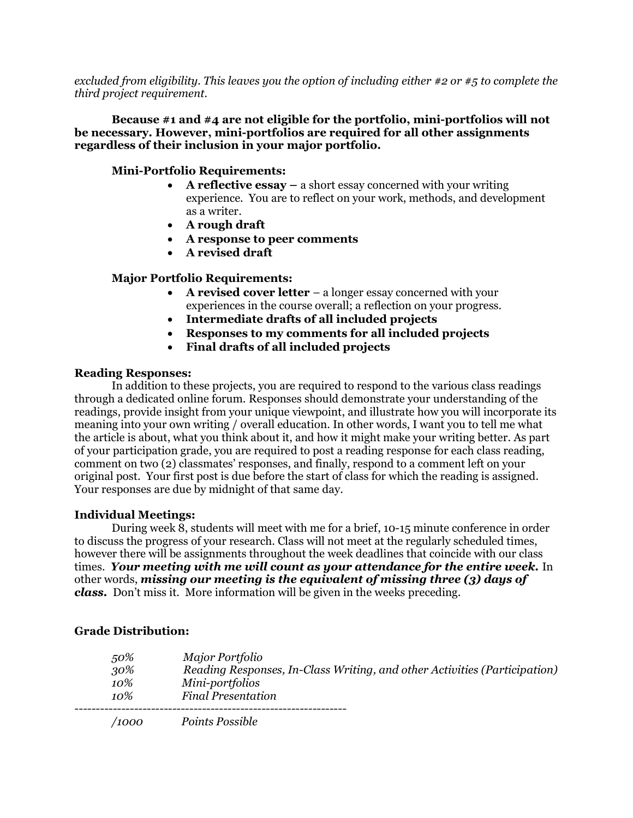*excluded from eligibility. This leaves you the option of including either #2 or #5 to complete the third project requirement.*

**Because #1 and #4 are not eligible for the portfolio, mini-portfolios will not be necessary. However, mini-portfolios are required for all other assignments regardless of their inclusion in your major portfolio.**

# **Mini-Portfolio Requirements:**

- **A reflective essay –** a short essay concerned with your writing experience. You are to reflect on your work, methods, and development as a writer.
- **A rough draft**
- **A response to peer comments**
- **A revised draft**

# **Major Portfolio Requirements:**

- **A revised cover letter**  a longer essay concerned with your experiences in the course overall; a reflection on your progress.
- **Intermediate drafts of all included projects**
- **Responses to my comments for all included projects**
- **Final drafts of all included projects**

### **Reading Responses:**

In addition to these projects, you are required to respond to the various class readings through a dedicated online forum. Responses should demonstrate your understanding of the readings, provide insight from your unique viewpoint, and illustrate how you will incorporate its meaning into your own writing / overall education. In other words, I want you to tell me what the article is about, what you think about it, and how it might make your writing better. As part of your participation grade, you are required to post a reading response for each class reading, comment on two (2) classmates' responses, and finally, respond to a comment left on your original post. Your first post is due before the start of class for which the reading is assigned. Your responses are due by midnight of that same day.

#### **Individual Meetings:**

During week 8, students will meet with me for a brief, 10-15 minute conference in order to discuss the progress of your research. Class will not meet at the regularly scheduled times, however there will be assignments throughout the week deadlines that coincide with our class times. *Your meeting with me will count as your attendance for the entire week.* In other words, *missing our meeting is the equivalent of missing three (3) days of class.* Don't miss it. More information will be given in the weeks preceding.

# **Grade Distribution:**

*50% Major Portfolio 30% Reading Responses, In-Class Writing, and other Activities (Participation) 10% Mini-portfolios 10% Final Presentation ---------------------------------------------------------------- /1000 Points Possible*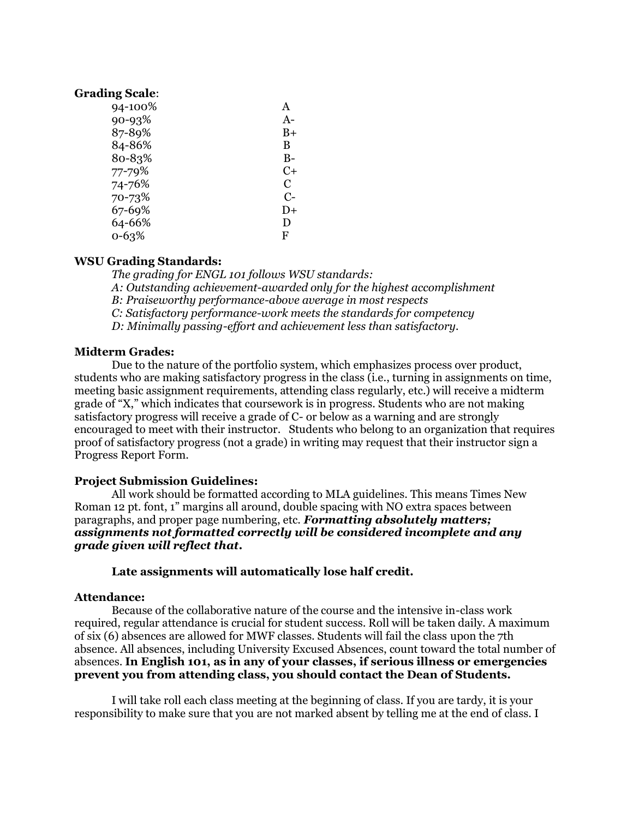#### **Grading Scale**:

| 94-100% | A    |
|---------|------|
| 90-93%  | A-   |
| 87-89%  | B+   |
| 84-86%  | B    |
| 80-83%  | B-   |
| 77-79%  | C+   |
| 74-76%  | C    |
| 70-73%  | $C-$ |
| 67-69%  | D+   |
| 64-66%  | D    |
| 0-63%   | F    |

### **WSU Grading Standards:**

*The grading for ENGL 101 follows WSU standards: A: Outstanding achievement-awarded only for the highest accomplishment B: Praiseworthy performance-above average in most respects C: Satisfactory performance-work meets the standards for competency D: Minimally passing-effort and achievement less than satisfactory.*

#### **Midterm Grades:**

Due to the nature of the portfolio system, which emphasizes process over product, students who are making satisfactory progress in the class (i.e., turning in assignments on time, meeting basic assignment requirements, attending class regularly, etc.) will receive a midterm grade of "X," which indicates that coursework is in progress. Students who are not making satisfactory progress will receive a grade of C- or below as a warning and are strongly encouraged to meet with their instructor. Students who belong to an organization that requires proof of satisfactory progress (not a grade) in writing may request that their instructor sign a Progress Report Form.

#### **Project Submission Guidelines:**

All work should be formatted according to MLA guidelines. This means Times New Roman 12 pt. font, 1" margins all around, double spacing with NO extra spaces between paragraphs, and proper page numbering, etc. *Formatting absolutely matters; assignments not formatted correctly will be considered incomplete and any grade given will reflect that***.**

#### **Late assignments will automatically lose half credit.**

#### **Attendance:**

Because of the collaborative nature of the course and the intensive in-class work required, regular attendance is crucial for student success. Roll will be taken daily. A maximum of six (6) absences are allowed for MWF classes. Students will fail the class upon the 7th absence. All absences, including University Excused Absences, count toward the total number of absences. **In English 101, as in any of your classes, if serious illness or emergencies prevent you from attending class, you should contact the Dean of Students.**

I will take roll each class meeting at the beginning of class. If you are tardy, it is your responsibility to make sure that you are not marked absent by telling me at the end of class. I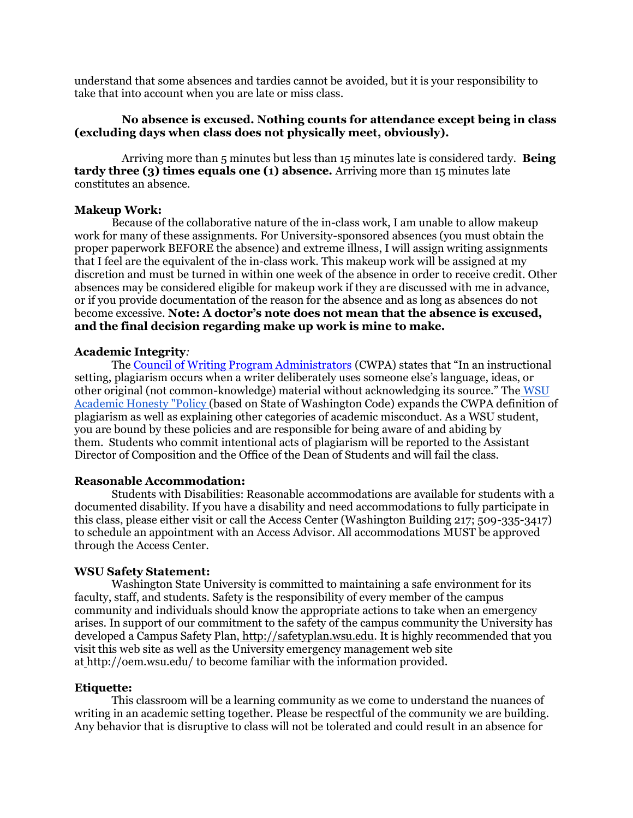understand that some absences and tardies cannot be avoided, but it is your responsibility to take that into account when you are late or miss class.

### **No absence is excused. Nothing counts for attendance except being in class (excluding days when class does not physically meet, obviously).**

Arriving more than 5 minutes but less than 15 minutes late is considered tardy. **Being tardy three (3) times equals one (1) absence.** Arriving more than 15 minutes late constitutes an absence.

#### **Makeup Work:**

Because of the collaborative nature of the in-class work, I am unable to allow makeup work for many of these assignments. For University-sponsored absences (you must obtain the proper paperwork BEFORE the absence) and extreme illness, I will assign writing assignments that I feel are the equivalent of the in-class work. This makeup work will be assigned at my discretion and must be turned in within one week of the absence in order to receive credit. Other absences may be considered eligible for makeup work if they are discussed with me in advance, or if you provide documentation of the reason for the absence and as long as absences do not become excessive. **Note: A doctor's note does not mean that the absence is excused, and the final decision regarding make up work is mine to make.**

#### **Academic Integrity***:*

The [Council of Writing Program Administrators](file:///E:/Applications/Dropbox/Comp%20101/%22http:/www.wpacouncil.org/positions/WPAplagiarism.pdf%22Council%20of%20Writing%20Program%20Administrators) (CWPA) states that "In an instructional setting, plagiarism occurs when a writer deliberately uses someone else's language, ideas, or other original (not common-knowledge) material without acknowledging its source." The WSU Academic Honesty "Policy (based on State of Washington Code) expands the CWPA definition of plagiarism as well as explaining other categories of academic misconduct. As a WSU student, you are bound by these policies and are responsible for being aware of and abiding by them. Students who commit intentional acts of plagiarism will be reported to the Assistant Director of Composition and the Office of the Dean of Students and will fail the class.

#### **Reasonable Accommodation:**

Students with Disabilities: Reasonable accommodations are available for students with a documented disability. If you have a disability and need accommodations to fully participate in this class, please either visit or call the Access Center (Washington Building 217; 509-335-3417) to schedule an appointment with an Access Advisor. All accommodations MUST be approved through the Access Center.

#### **WSU Safety Statement:**

Washington State University is committed to maintaining a safe environment for its faculty, staff, and students. Safety is the responsibility of every member of the campus community and individuals should know the appropriate actions to take when an emergency arises. In support of our commitment to the safety of the campus community the University has developed a Campus Safety Plan, [http://safetyplan.wsu.edu.](http://safetyplan.wsu.edu/) It is highly recommended that you visit this web site as well as the University emergency management web site at <http://oem.wsu.edu/> to become familiar with the information provided.

#### **Etiquette:**

This classroom will be a learning community as we come to understand the nuances of writing in an academic setting together. Please be respectful of the community we are building. Any behavior that is disruptive to class will not be tolerated and could result in an absence for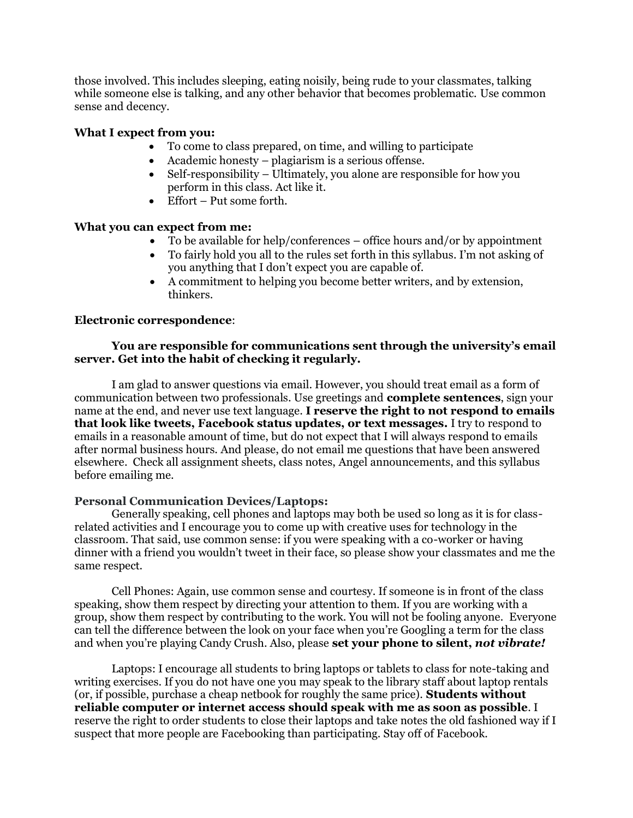those involved. This includes sleeping, eating noisily, being rude to your classmates, talking while someone else is talking, and any other behavior that becomes problematic. Use common sense and decency.

### **What I expect from you:**

- To come to class prepared, on time, and willing to participate
- Academic honesty plagiarism is a serious offense.
- Self-responsibility Ultimately, you alone are responsible for how you perform in this class. Act like it.
- Effort Put some forth.

### **What you can expect from me:**

- To be available for help/conferences office hours and/or by appointment
- To fairly hold you all to the rules set forth in this syllabus. I'm not asking of you anything that I don't expect you are capable of.
- A commitment to helping you become better writers, and by extension, thinkers.

#### **Electronic correspondence**:

### **You are responsible for communications sent through the university's email server. Get into the habit of checking it regularly.**

I am glad to answer questions via email. However, you should treat email as a form of communication between two professionals. Use greetings and **complete sentences**, sign your name at the end, and never use text language. **I reserve the right to not respond to emails that look like tweets, Facebook status updates, or text messages.** I try to respond to emails in a reasonable amount of time, but do not expect that I will always respond to emails after normal business hours. And please, do not email me questions that have been answered elsewhere. Check all assignment sheets, class notes, Angel announcements, and this syllabus before emailing me.

#### **Personal Communication Devices/Laptops:**

Generally speaking, cell phones and laptops may both be used so long as it is for classrelated activities and I encourage you to come up with creative uses for technology in the classroom. That said, use common sense: if you were speaking with a co-worker or having dinner with a friend you wouldn't tweet in their face, so please show your classmates and me the same respect.

Cell Phones: Again, use common sense and courtesy. If someone is in front of the class speaking, show them respect by directing your attention to them. If you are working with a group, show them respect by contributing to the work. You will not be fooling anyone. Everyone can tell the difference between the look on your face when you're Googling a term for the class and when you're playing Candy Crush. Also, please **set your phone to silent,** *not vibrate!*

Laptops: I encourage all students to bring laptops or tablets to class for note-taking and writing exercises. If you do not have one you may speak to the library staff about laptop rentals (or, if possible, purchase a cheap netbook for roughly the same price). **Students without reliable computer or internet access should speak with me as soon as possible**. I reserve the right to order students to close their laptops and take notes the old fashioned way if I suspect that more people are Facebooking than participating. Stay off of Facebook.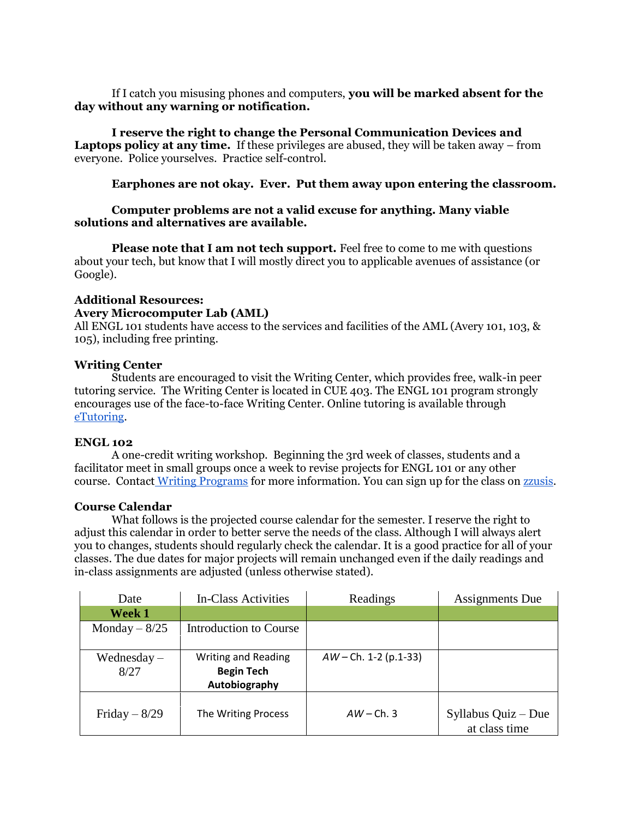If I catch you misusing phones and computers, **you will be marked absent for the day without any warning or notification.**

**I reserve the right to change the Personal Communication Devices and Laptops policy at any time.** If these privileges are abused, they will be taken away – from everyone. Police yourselves. Practice self-control.

**Earphones are not okay. Ever. Put them away upon entering the classroom.**

### **Computer problems are not a valid excuse for anything. Many viable solutions and alternatives are available.**

**Please note that I am not tech support.** Feel free to come to me with questions about your tech, but know that I will mostly direct you to applicable avenues of assistance (or Google).

#### **Additional Resources: Avery Microcomputer Lab (AML)**

All ENGL 101 students have access to the services and facilities of the AML (Avery 101, 103, & 105), including free printing.

### **Writing Center**

Students are encouraged to visit the Writing Center, which provides free, walk-in peer tutoring service. The Writing Center is located in CUE 403. The ENGL 101 program strongly encourages use of the face-to-face Writing Center. Online tutoring is available throug[h](http://writingprogram.wsu.edu/units/writingcenter/etutoring/) [eTutoring.](http://writingprogram.wsu.edu/units/writingcenter/etutoring/)

# **ENGL 102**

A one-credit writing workshop. Beginning the 3rd week of classes, students and a facilitator meet in small groups once a week to revise projects for ENGL 101 or any other course. Contact [Writing Programs](http://writingprogram.wsu.edu/) for more information. You can sign up for the class on [zzusis.](http://www.my.wsu.edu/)

#### **Course Calendar**

What follows is the projected course calendar for the semester. I reserve the right to adjust this calendar in order to better serve the needs of the class. Although I will always alert you to changes, students should regularly check the calendar. It is a good practice for all of your classes. The due dates for major projects will remain unchanged even if the daily readings and in-class assignments are adjusted (unless otherwise stated).

| Date           | In-Class Activities           | Readings                | <b>Assignments</b> Due |
|----------------|-------------------------------|-------------------------|------------------------|
| Week 1         |                               |                         |                        |
| Monday $-8/25$ | <b>Introduction to Course</b> |                         |                        |
|                |                               |                         |                        |
| $We dnesday -$ | <b>Writing and Reading</b>    | $AW - Ch. 1-2 (p.1-33)$ |                        |
| 8/27           | <b>Begin Tech</b>             |                         |                        |
|                | Autobiography                 |                         |                        |
|                |                               |                         |                        |
| Friday $-8/29$ | The Writing Process           | $AW$ – Ch. 3            | Syllabus Quiz - Due    |
|                |                               |                         | at class time          |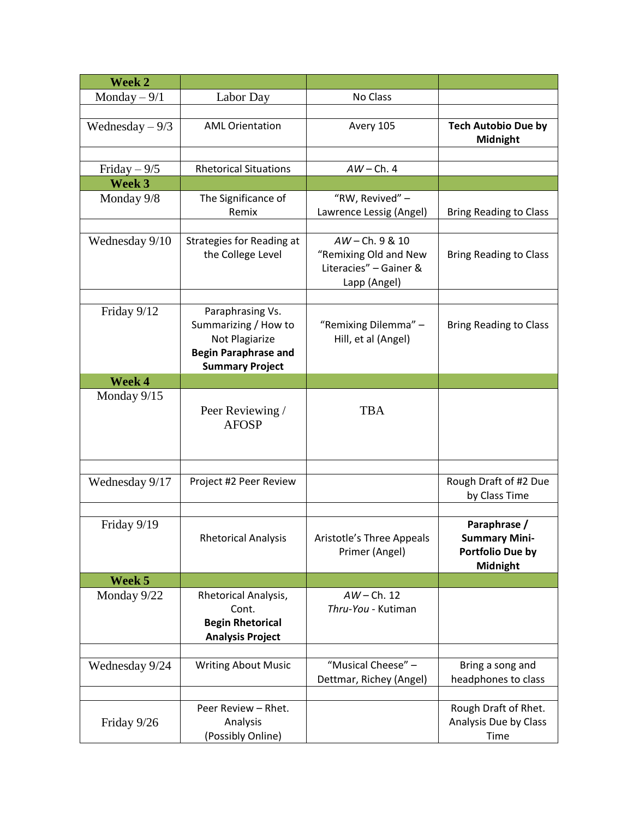| Week 2           |                                                                                                                     |                                                                                  |                                                                      |
|------------------|---------------------------------------------------------------------------------------------------------------------|----------------------------------------------------------------------------------|----------------------------------------------------------------------|
| Monday $-9/1$    | Labor Day                                                                                                           | No Class                                                                         |                                                                      |
|                  |                                                                                                                     |                                                                                  |                                                                      |
| Wednesday $-9/3$ | <b>AML Orientation</b>                                                                                              | Avery 105                                                                        | <b>Tech Autobio Due by</b><br>Midnight                               |
|                  |                                                                                                                     |                                                                                  |                                                                      |
| Friday $-9/5$    | <b>Rhetorical Situations</b>                                                                                        | $AW$ – Ch. 4                                                                     |                                                                      |
| Week 3           |                                                                                                                     |                                                                                  |                                                                      |
| Monday 9/8       | The Significance of<br>Remix                                                                                        | "RW, Revived" -<br>Lawrence Lessig (Angel)                                       | <b>Bring Reading to Class</b>                                        |
| Wednesday 9/10   | Strategies for Reading at<br>the College Level                                                                      | AW-Ch. 9 & 10<br>"Remixing Old and New<br>Literacies" - Gainer &<br>Lapp (Angel) | <b>Bring Reading to Class</b>                                        |
|                  |                                                                                                                     |                                                                                  |                                                                      |
| Friday 9/12      | Paraphrasing Vs.<br>Summarizing / How to<br>Not Plagiarize<br><b>Begin Paraphrase and</b><br><b>Summary Project</b> | "Remixing Dilemma" -<br>Hill, et al (Angel)                                      | <b>Bring Reading to Class</b>                                        |
| Week 4           |                                                                                                                     |                                                                                  |                                                                      |
| Monday 9/15      | Peer Reviewing /<br><b>AFOSP</b>                                                                                    | <b>TBA</b>                                                                       |                                                                      |
|                  |                                                                                                                     |                                                                                  |                                                                      |
| Wednesday 9/17   | Project #2 Peer Review                                                                                              |                                                                                  | Rough Draft of #2 Due<br>by Class Time                               |
| Friday 9/19      | <b>Rhetorical Analysis</b>                                                                                          | Aristotle's Three Appeals<br>Primer (Angel)                                      | Paraphrase /<br><b>Summary Mini-</b><br>Portfolio Due by<br>Midnight |
| Week 5           |                                                                                                                     |                                                                                  |                                                                      |
| Monday 9/22      | Rhetorical Analysis,<br>Cont.<br><b>Begin Rhetorical</b><br><b>Analysis Project</b>                                 | $AW$ – Ch. 12<br>Thru-You - Kutiman                                              |                                                                      |
|                  |                                                                                                                     |                                                                                  |                                                                      |
| Wednesday 9/24   | <b>Writing About Music</b>                                                                                          | "Musical Cheese" -<br>Dettmar, Richey (Angel)                                    | Bring a song and<br>headphones to class                              |
|                  |                                                                                                                     |                                                                                  |                                                                      |
| Friday 9/26      | Peer Review - Rhet.<br>Analysis<br>(Possibly Online)                                                                |                                                                                  | Rough Draft of Rhet.<br>Analysis Due by Class<br>Time                |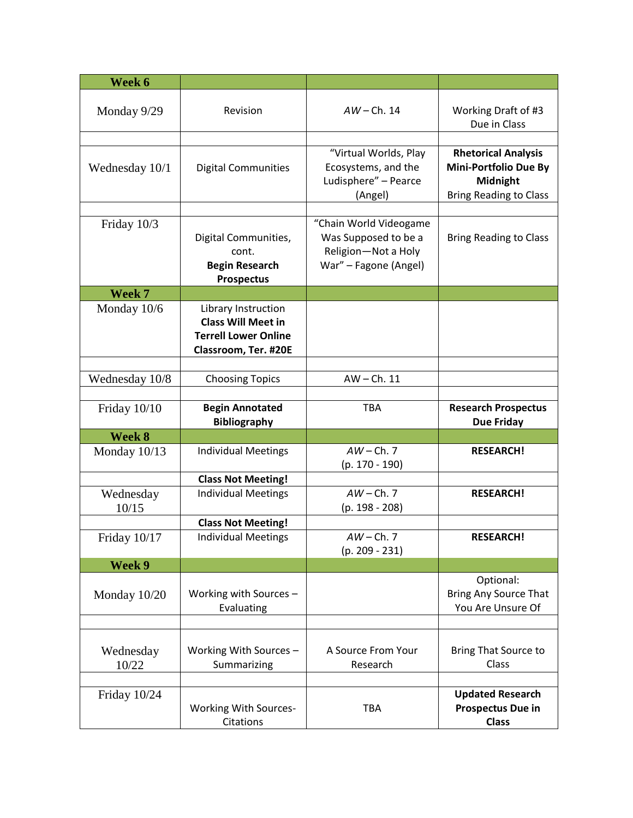| Week 6            |                                            |                        |                                     |
|-------------------|--------------------------------------------|------------------------|-------------------------------------|
|                   |                                            |                        |                                     |
| Monday 9/29       | Revision                                   | $AW$ – Ch. 14          | Working Draft of #3<br>Due in Class |
|                   |                                            |                        |                                     |
|                   |                                            | "Virtual Worlds, Play  | <b>Rhetorical Analysis</b>          |
| Wednesday 10/1    | <b>Digital Communities</b>                 | Ecosystems, and the    | <b>Mini-Portfolio Due By</b>        |
|                   |                                            | Ludisphere" - Pearce   | Midnight                            |
|                   |                                            | (Angel)                | <b>Bring Reading to Class</b>       |
|                   |                                            |                        |                                     |
| Friday 10/3       |                                            | "Chain World Videogame |                                     |
|                   | Digital Communities,                       | Was Supposed to be a   | <b>Bring Reading to Class</b>       |
|                   | cont.                                      | Religion-Not a Holy    |                                     |
|                   | <b>Begin Research</b><br><b>Prospectus</b> | War" - Fagone (Angel)  |                                     |
| Week <sub>7</sub> |                                            |                        |                                     |
| Monday 10/6       | Library Instruction                        |                        |                                     |
|                   | <b>Class Will Meet in</b>                  |                        |                                     |
|                   | <b>Terrell Lower Online</b>                |                        |                                     |
|                   | Classroom, Ter. #20E                       |                        |                                     |
|                   |                                            |                        |                                     |
| Wednesday 10/8    | <b>Choosing Topics</b>                     | $AW - Ch. 11$          |                                     |
|                   |                                            |                        |                                     |
| Friday $10/10$    | <b>Begin Annotated</b>                     | <b>TBA</b>             | <b>Research Prospectus</b>          |
|                   | <b>Bibliography</b>                        |                        | <b>Due Friday</b>                   |
| Week 8            |                                            |                        |                                     |
| Monday 10/13      | <b>Individual Meetings</b>                 | $AW$ – Ch. 7           | <b>RESEARCH!</b>                    |
|                   |                                            | $(p. 170 - 190)$       |                                     |
|                   | <b>Class Not Meeting!</b>                  |                        |                                     |
| Wednesday         | <b>Individual Meetings</b>                 | $AW$ – Ch. 7           | <b>RESEARCH!</b>                    |
| 10/15             |                                            | $(p. 198 - 208)$       |                                     |
|                   | <b>Class Not Meeting!</b>                  |                        |                                     |
| Friday 10/17      | <b>Individual Meetings</b>                 | $AW$ – Ch. 7           | <b>RESEARCH!</b>                    |
|                   |                                            | $(p. 209 - 231)$       |                                     |
| Week 9            |                                            |                        | Optional:                           |
|                   | Working with Sources -                     |                        | Bring Any Source That               |
| Monday 10/20      | Evaluating                                 |                        | You Are Unsure Of                   |
|                   |                                            |                        |                                     |
|                   |                                            |                        |                                     |
| Wednesday         | Working With Sources -                     | A Source From Your     | <b>Bring That Source to</b>         |
| 10/22             | Summarizing                                | Research               | Class                               |
|                   |                                            |                        |                                     |
| Friday 10/24      |                                            |                        | <b>Updated Research</b>             |
|                   | <b>Working With Sources-</b>               | <b>TBA</b>             | <b>Prospectus Due in</b>            |
|                   | Citations                                  |                        | <b>Class</b>                        |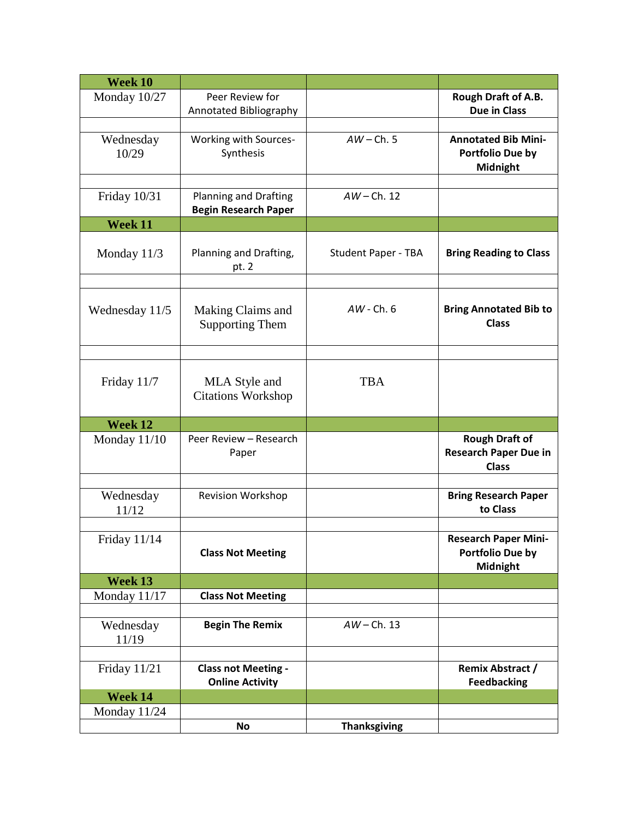| Week 10             |                                                      |                            |                                                                       |
|---------------------|------------------------------------------------------|----------------------------|-----------------------------------------------------------------------|
| Monday 10/27        | Peer Review for<br>Annotated Bibliography            |                            | Rough Draft of A.B.<br><b>Due in Class</b>                            |
|                     |                                                      |                            |                                                                       |
| Wednesday<br>10/29  | Working with Sources-<br>Synthesis                   | $AW$ – Ch. 5               | <b>Annotated Bib Mini-</b><br>Portfolio Due by<br>Midnight            |
|                     |                                                      |                            |                                                                       |
| Friday 10/31        | Planning and Drafting<br><b>Begin Research Paper</b> | $AW$ – Ch. 12              |                                                                       |
| Week 11             |                                                      |                            |                                                                       |
| Monday 11/3         | Planning and Drafting,<br>pt. 2                      | <b>Student Paper - TBA</b> | <b>Bring Reading to Class</b>                                         |
|                     |                                                      |                            |                                                                       |
| Wednesday 11/5      | Making Claims and<br><b>Supporting Them</b>          | $AW - Ch. 6$               | <b>Bring Annotated Bib to</b><br><b>Class</b>                         |
|                     |                                                      |                            |                                                                       |
| Friday 11/7         | MLA Style and<br><b>Citations Workshop</b>           | <b>TBA</b>                 |                                                                       |
| Week 12             |                                                      |                            |                                                                       |
| Monday $11/10$      | Peer Review - Research<br>Paper                      |                            | <b>Rough Draft of</b><br><b>Research Paper Due in</b><br><b>Class</b> |
|                     |                                                      |                            |                                                                       |
| Wednesday<br>11/12  | <b>Revision Workshop</b>                             |                            | <b>Bring Research Paper</b><br>to Class                               |
|                     |                                                      |                            |                                                                       |
| <b>Friday 11/14</b> | <b>Class Not Meeting</b>                             |                            | <b>Research Paper Mini-</b><br>Portfolio Due by<br>Midnight           |
| Week 13             |                                                      |                            |                                                                       |
| Monday $11/17$      | <b>Class Not Meeting</b>                             |                            |                                                                       |
|                     |                                                      |                            |                                                                       |
| Wednesday<br>11/19  | <b>Begin The Remix</b>                               | $AW$ – Ch. 13              |                                                                       |
|                     |                                                      |                            |                                                                       |
| <b>Friday 11/21</b> | <b>Class not Meeting -</b><br><b>Online Activity</b> |                            | <b>Remix Abstract /</b><br><b>Feedbacking</b>                         |
| Week 14             |                                                      |                            |                                                                       |
| Monday 11/24        |                                                      |                            |                                                                       |
|                     | No                                                   | <b>Thanksgiving</b>        |                                                                       |